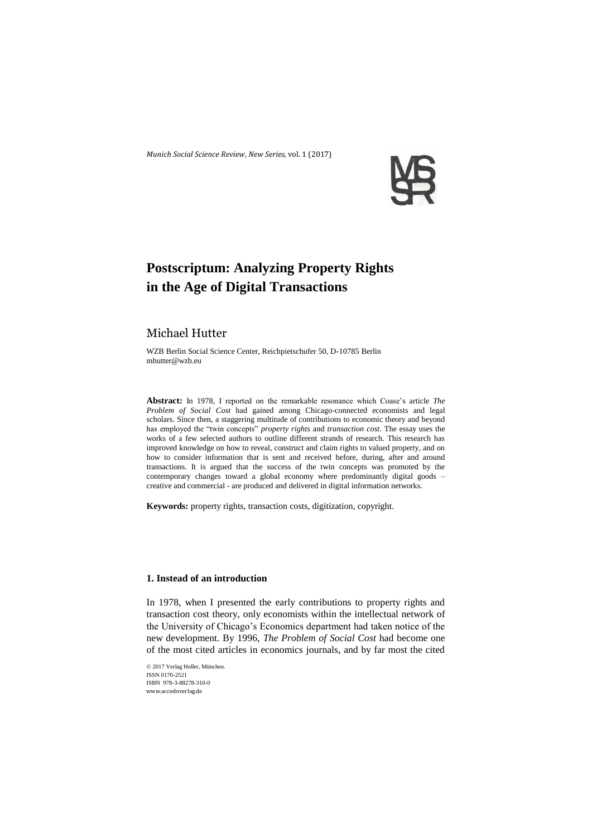*Munich Social Science Review*, *New Series,* vol. 1 (2017)



# **Postscriptum: Analyzing Property Rights in the Age of Digital Transactions**

## Michael Hutter

WZB Berlin Social Science Center, Reichpietschufer 50, D-10785 Berlin mhutter@wzb.eu

**Abstract:** In 1978, I reported on the remarkable resonance which Coase's article *The Problem of Social Cost* had gained among Chicago-connected economists and legal scholars. Since then, a staggering multitude of contributions to economic theory and beyond has employed the "twin concepts" *property rights* and *transaction cost*. The essay uses the works of a few selected authors to outline different strands of research. This research has improved knowledge on how to reveal, construct and claim rights to valued property, and on how to consider information that is sent and received before, during, after and around transactions. It is argued that the success of the twin concepts was promoted by the contemporary changes toward a global economy where predominantly digital goods – creative and commercial - are produced and delivered in digital information networks.

**Keywords:** property rights, transaction costs, digitization, copyright.

## **1. Instead of an introduction**

In 1978, when I presented the early contributions to property rights and transaction cost theory, only economists within the intellectual network of the University of Chicago's Economics department had taken notice of the new development. By 1996, *The Problem of Social Cost* had become one of the most cited articles in economics journals, and by far most the cited

© 2017 Verlag Holler, München. ISSN 0170-2521 ISBN 978-3-88278-310-0 www.accedoverlag.de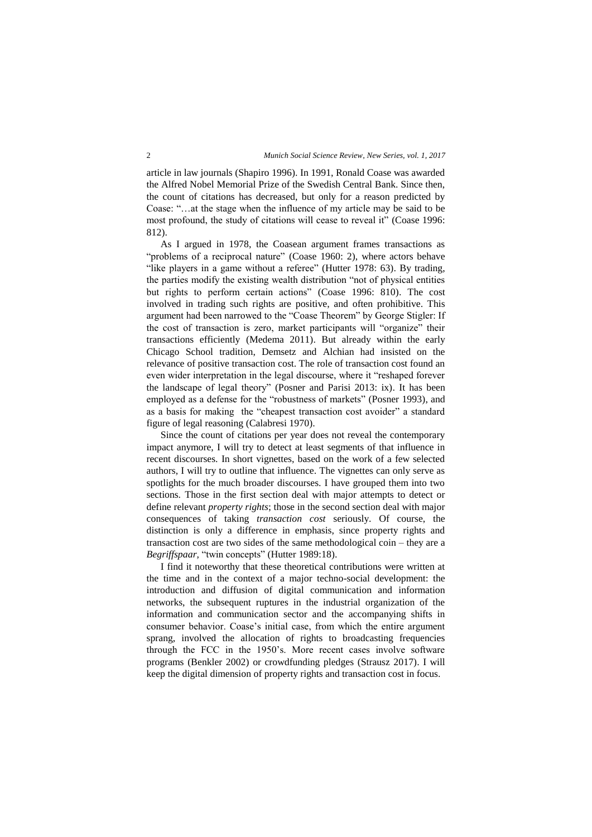article in law journals (Shapiro 1996). In 1991, Ronald Coase was awarded the Alfred Nobel Memorial Prize of the Swedish Central Bank. Since then, the count of citations has decreased, but only for a reason predicted by Coase: "…at the stage when the influence of my article may be said to be most profound, the study of citations will cease to reveal it" (Coase 1996: 812).

As I argued in 1978, the Coasean argument frames transactions as "problems of a reciprocal nature" (Coase 1960: 2), where actors behave "like players in a game without a referee" (Hutter 1978: 63). By trading, the parties modify the existing wealth distribution "not of physical entities but rights to perform certain actions" (Coase 1996: 810). The cost involved in trading such rights are positive, and often prohibitive. This argument had been narrowed to the "Coase Theorem" by George Stigler: If the cost of transaction is zero, market participants will "organize" their transactions efficiently (Medema 2011). But already within the early Chicago School tradition, Demsetz and Alchian had insisted on the relevance of positive transaction cost. The role of transaction cost found an even wider interpretation in the legal discourse, where it "reshaped forever the landscape of legal theory" (Posner and Parisi 2013: ix). It has been employed as a defense for the "robustness of markets" (Posner 1993), and as a basis for making the "cheapest transaction cost avoider" a standard figure of legal reasoning (Calabresi 1970).

Since the count of citations per year does not reveal the contemporary impact anymore, I will try to detect at least segments of that influence in recent discourses. In short vignettes, based on the work of a few selected authors, I will try to outline that influence. The vignettes can only serve as spotlights for the much broader discourses. I have grouped them into two sections. Those in the first section deal with major attempts to detect or define relevant *property rights*; those in the second section deal with major consequences of taking *transaction cost* seriously. Of course, the distinction is only a difference in emphasis, since property rights and transaction cost are two sides of the same methodological coin – they are a *Begriffspaar,* "twin concepts" (Hutter 1989:18).

I find it noteworthy that these theoretical contributions were written at the time and in the context of a major techno-social development: the introduction and diffusion of digital communication and information networks, the subsequent ruptures in the industrial organization of the information and communication sector and the accompanying shifts in consumer behavior. Coase's initial case, from which the entire argument sprang, involved the allocation of rights to broadcasting frequencies through the FCC in the 1950's. More recent cases involve software programs (Benkler 2002) or crowdfunding pledges (Strausz 2017). I will keep the digital dimension of property rights and transaction cost in focus.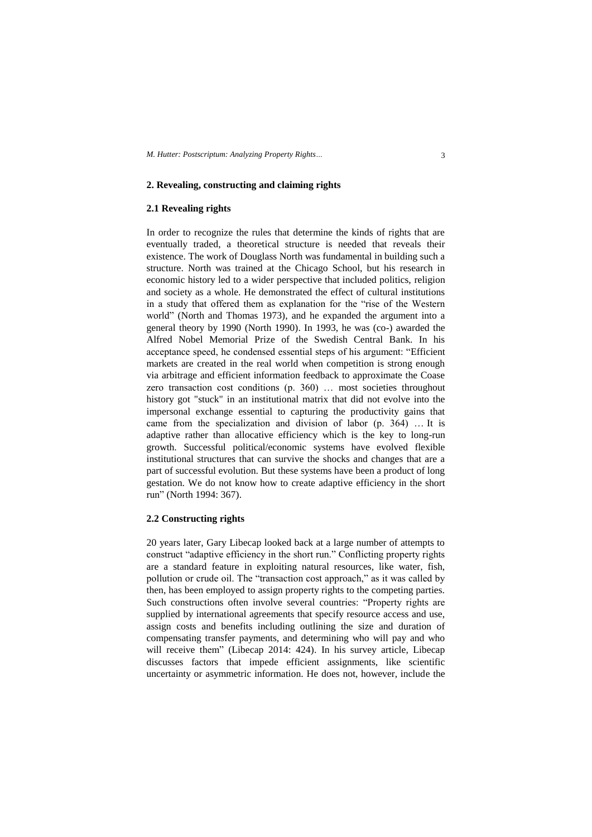## **2. Revealing, constructing and claiming rights**

### **2.1 Revealing rights**

In order to recognize the rules that determine the kinds of rights that are eventually traded, a theoretical structure is needed that reveals their existence. The work of Douglass North was fundamental in building such a structure. North was trained at the Chicago School, but his research in economic history led to a wider perspective that included politics, religion and society as a whole. He demonstrated the effect of cultural institutions in a study that offered them as explanation for the "rise of the Western world" (North and Thomas 1973), and he expanded the argument into a general theory by 1990 (North 1990). In 1993, he was (co-) awarded the Alfred Nobel Memorial Prize of the Swedish Central Bank. In his acceptance speed, he condensed essential steps of his argument: "Efficient markets are created in the real world when competition is strong enough via arbitrage and efficient information feedback to approximate the Coase zero transaction cost conditions (p. 360) … most societies throughout history got "stuck" in an institutional matrix that did not evolve into the impersonal exchange essential to capturing the productivity gains that came from the specialization and division of labor (p. 364) … It is adaptive rather than allocative efficiency which is the key to long-run growth. Successful political/economic systems have evolved flexible institutional structures that can survive the shocks and changes that are a part of successful evolution. But these systems have been a product of long gestation. We do not know how to create adaptive efficiency in the short run" (North 1994: 367).

## **2.2 Constructing rights**

20 years later, Gary Libecap looked back at a large number of attempts to construct "adaptive efficiency in the short run." Conflicting property rights are a standard feature in exploiting natural resources, like water, fish, pollution or crude oil. The "transaction cost approach," as it was called by then, has been employed to assign property rights to the competing parties. Such constructions often involve several countries: "Property rights are supplied by international agreements that specify resource access and use, assign costs and benefits including outlining the size and duration of compensating transfer payments, and determining who will pay and who will receive them" (Libecap 2014: 424). In his survey article, Libecap discusses factors that impede efficient assignments, like scientific uncertainty or asymmetric information. He does not, however, include the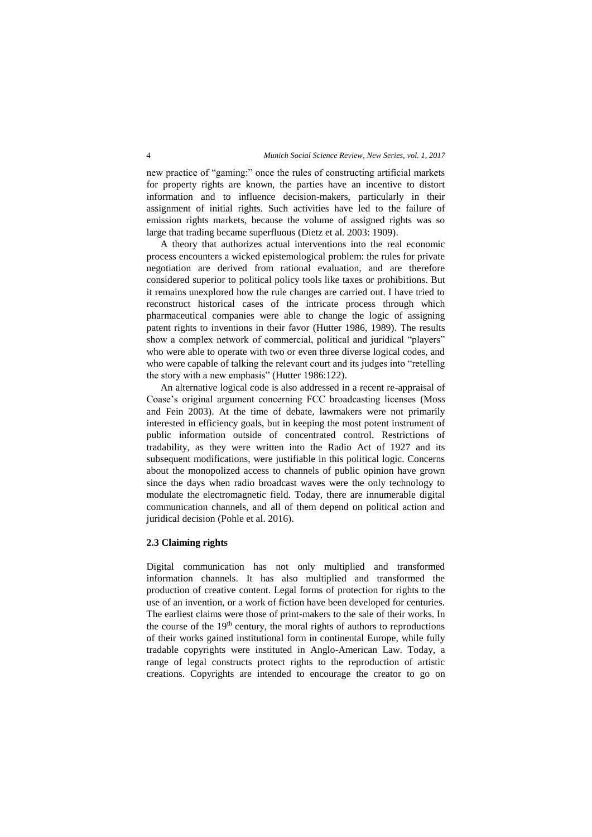new practice of "gaming:" once the rules of constructing artificial markets for property rights are known, the parties have an incentive to distort information and to influence decision-makers, particularly in their assignment of initial rights. Such activities have led to the failure of emission rights markets, because the volume of assigned rights was so large that trading became superfluous (Dietz et al. 2003: 1909).

A theory that authorizes actual interventions into the real economic process encounters a wicked epistemological problem: the rules for private negotiation are derived from rational evaluation, and are therefore considered superior to political policy tools like taxes or prohibitions. But it remains unexplored how the rule changes are carried out. I have tried to reconstruct historical cases of the intricate process through which pharmaceutical companies were able to change the logic of assigning patent rights to inventions in their favor (Hutter 1986, 1989). The results show a complex network of commercial, political and juridical "players" who were able to operate with two or even three diverse logical codes, and who were capable of talking the relevant court and its judges into "retelling the story with a new emphasis" (Hutter 1986:122).

An alternative logical code is also addressed in a recent re-appraisal of Coase's original argument concerning FCC broadcasting licenses (Moss and Fein 2003). At the time of debate, lawmakers were not primarily interested in efficiency goals, but in keeping the most potent instrument of public information outside of concentrated control. Restrictions of tradability, as they were written into the Radio Act of 1927 and its subsequent modifications, were justifiable in this political logic. Concerns about the monopolized access to channels of public opinion have grown since the days when radio broadcast waves were the only technology to modulate the electromagnetic field. Today, there are innumerable digital communication channels, and all of them depend on political action and juridical decision (Pohle et al. 2016).

#### **2.3 Claiming rights**

Digital communication has not only multiplied and transformed information channels. It has also multiplied and transformed the production of creative content. Legal forms of protection for rights to the use of an invention, or a work of fiction have been developed for centuries. The earliest claims were those of print-makers to the sale of their works. In the course of the  $19<sup>th</sup>$  century, the moral rights of authors to reproductions of their works gained institutional form in continental Europe, while fully tradable copyrights were instituted in Anglo-American Law. Today, a range of legal constructs protect rights to the reproduction of artistic creations. Copyrights are intended to encourage the creator to go on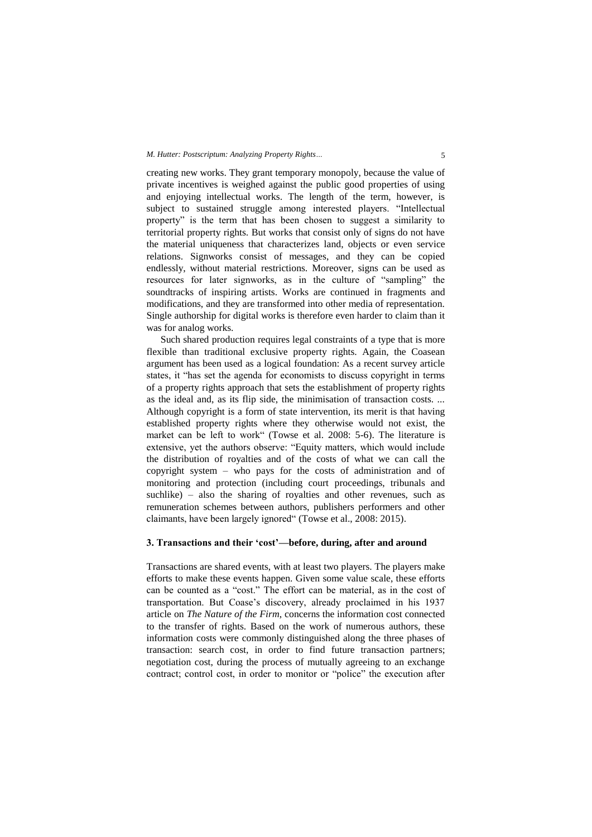#### *M. Hutter: Postscriptum: Analyzing Property Rights…* 5

creating new works. They grant temporary monopoly, because the value of private incentives is weighed against the public good properties of using and enjoying intellectual works. The length of the term, however, is subject to sustained struggle among interested players. "Intellectual property" is the term that has been chosen to suggest a similarity to territorial property rights. But works that consist only of signs do not have the material uniqueness that characterizes land, objects or even service relations. Signworks consist of messages, and they can be copied endlessly, without material restrictions. Moreover, signs can be used as resources for later signworks, as in the culture of "sampling" the soundtracks of inspiring artists. Works are continued in fragments and modifications, and they are transformed into other media of representation. Single authorship for digital works is therefore even harder to claim than it was for analog works.

Such shared production requires legal constraints of a type that is more flexible than traditional exclusive property rights. Again, the Coasean argument has been used as a logical foundation: As a recent survey article states, it "has set the agenda for economists to discuss copyright in terms of a property rights approach that sets the establishment of property rights as the ideal and, as its flip side, the minimisation of transaction costs. ... Although copyright is a form of state intervention, its merit is that having established property rights where they otherwise would not exist, the market can be left to work" (Towse et al. 2008: 5-6). The literature is extensive, yet the authors observe: "Equity matters, which would include the distribution of royalties and of the costs of what we can call the copyright system – who pays for the costs of administration and of monitoring and protection (including court proceedings, tribunals and suchlike) – also the sharing of royalties and other revenues, such as remuneration schemes between authors, publishers performers and other claimants, have been largely ignored" (Towse et al., 2008: 2015).

#### **3. Transactions and their 'cost'—before, during, after and around**

Transactions are shared events, with at least two players. The players make efforts to make these events happen. Given some value scale, these efforts can be counted as a "cost." The effort can be material, as in the cost of transportation. But Coase's discovery, already proclaimed in his 1937 article on *The Nature of the Firm*, concerns the information cost connected to the transfer of rights. Based on the work of numerous authors, these information costs were commonly distinguished along the three phases of transaction: search cost, in order to find future transaction partners; negotiation cost, during the process of mutually agreeing to an exchange contract; control cost, in order to monitor or "police" the execution after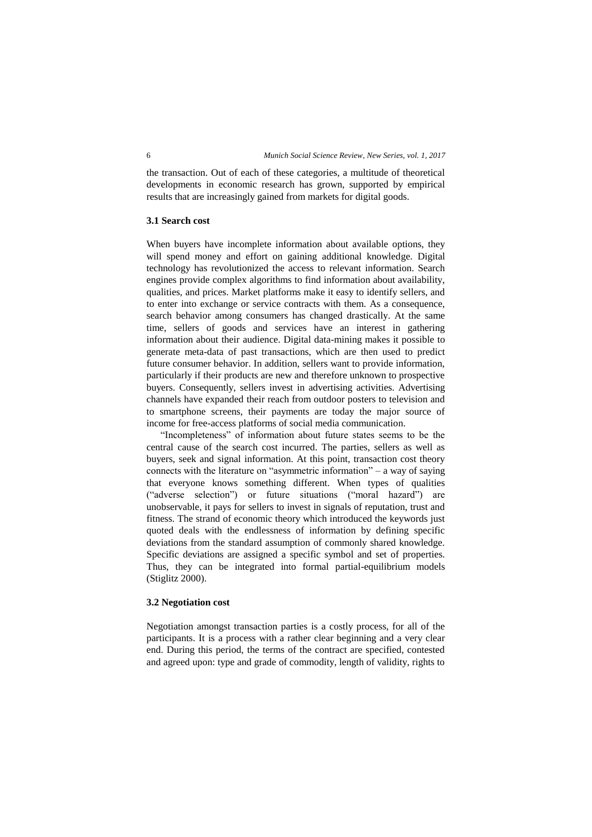the transaction. Out of each of these categories, a multitude of theoretical developments in economic research has grown, supported by empirical results that are increasingly gained from markets for digital goods.

#### **3.1 Search cost**

When buyers have incomplete information about available options, they will spend money and effort on gaining additional knowledge. Digital technology has revolutionized the access to relevant information. Search engines provide complex algorithms to find information about availability, qualities, and prices. Market platforms make it easy to identify sellers, and to enter into exchange or service contracts with them. As a consequence, search behavior among consumers has changed drastically. At the same time, sellers of goods and services have an interest in gathering information about their audience. Digital data-mining makes it possible to generate meta-data of past transactions, which are then used to predict future consumer behavior. In addition, sellers want to provide information, particularly if their products are new and therefore unknown to prospective buyers. Consequently, sellers invest in advertising activities. Advertising channels have expanded their reach from outdoor posters to television and to smartphone screens, their payments are today the major source of income for free-access platforms of social media communication.

"Incompleteness" of information about future states seems to be the central cause of the search cost incurred. The parties, sellers as well as buyers, seek and signal information. At this point, transaction cost theory connects with the literature on "asymmetric information" – a way of saying that everyone knows something different. When types of qualities ("adverse selection") or future situations ("moral hazard") are unobservable, it pays for sellers to invest in signals of reputation, trust and fitness. The strand of economic theory which introduced the keywords just quoted deals with the endlessness of information by defining specific deviations from the standard assumption of commonly shared knowledge. Specific deviations are assigned a specific symbol and set of properties. Thus, they can be integrated into formal partial-equilibrium models (Stiglitz 2000).

## **3.2 Negotiation cost**

Negotiation amongst transaction parties is a costly process, for all of the participants. It is a process with a rather clear beginning and a very clear end. During this period, the terms of the contract are specified, contested and agreed upon: type and grade of commodity, length of validity, rights to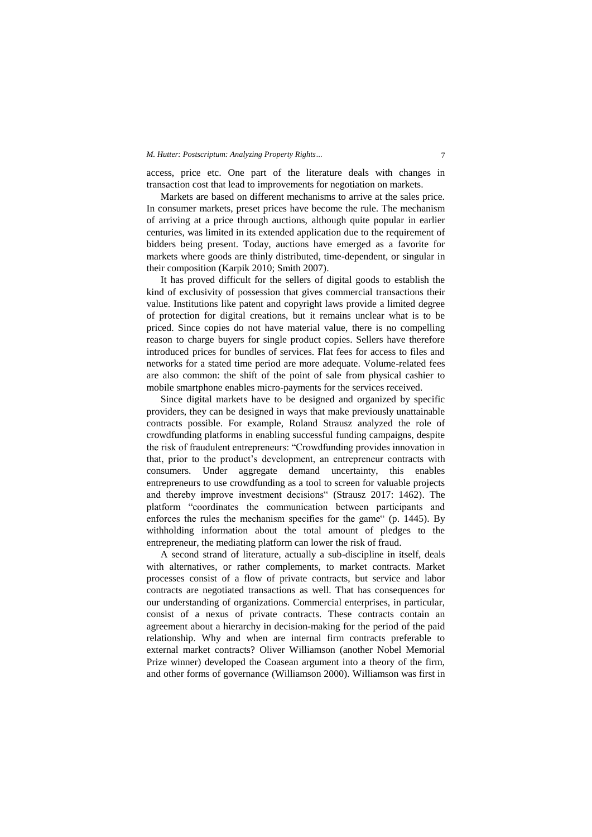#### *M. Hutter: Postscriptum: Analyzing Property Rights…* 7

access, price etc. One part of the literature deals with changes in transaction cost that lead to improvements for negotiation on markets.

Markets are based on different mechanisms to arrive at the sales price. In consumer markets, preset prices have become the rule. The mechanism of arriving at a price through auctions, although quite popular in earlier centuries, was limited in its extended application due to the requirement of bidders being present. Today, auctions have emerged as a favorite for markets where goods are thinly distributed, time-dependent, or singular in their composition (Karpik 2010; Smith 2007).

It has proved difficult for the sellers of digital goods to establish the kind of exclusivity of possession that gives commercial transactions their value. Institutions like patent and copyright laws provide a limited degree of protection for digital creations, but it remains unclear what is to be priced. Since copies do not have material value, there is no compelling reason to charge buyers for single product copies. Sellers have therefore introduced prices for bundles of services. Flat fees for access to files and networks for a stated time period are more adequate. Volume-related fees are also common: the shift of the point of sale from physical cashier to mobile smartphone enables micro-payments for the services received.

Since digital markets have to be designed and organized by specific providers, they can be designed in ways that make previously unattainable contracts possible. For example, Roland Strausz analyzed the role of crowdfunding platforms in enabling successful funding campaigns, despite the risk of fraudulent entrepreneurs: "Crowdfunding provides innovation in that, prior to the product's development, an entrepreneur contracts with consumers. Under aggregate demand uncertainty, this enables entrepreneurs to use crowdfunding as a tool to screen for valuable projects and thereby improve investment decisions" (Strausz 2017: 1462). The platform "coordinates the communication between participants and enforces the rules the mechanism specifies for the game" (p. 1445). By withholding information about the total amount of pledges to the entrepreneur, the mediating platform can lower the risk of fraud.

A second strand of literature, actually a sub-discipline in itself, deals with alternatives, or rather complements, to market contracts. Market processes consist of a flow of private contracts, but service and labor contracts are negotiated transactions as well. That has consequences for our understanding of organizations. Commercial enterprises, in particular, consist of a nexus of private contracts. These contracts contain an agreement about a hierarchy in decision-making for the period of the paid relationship. Why and when are internal firm contracts preferable to external market contracts? Oliver Williamson (another Nobel Memorial Prize winner) developed the Coasean argument into a theory of the firm, and other forms of governance (Williamson 2000). Williamson was first in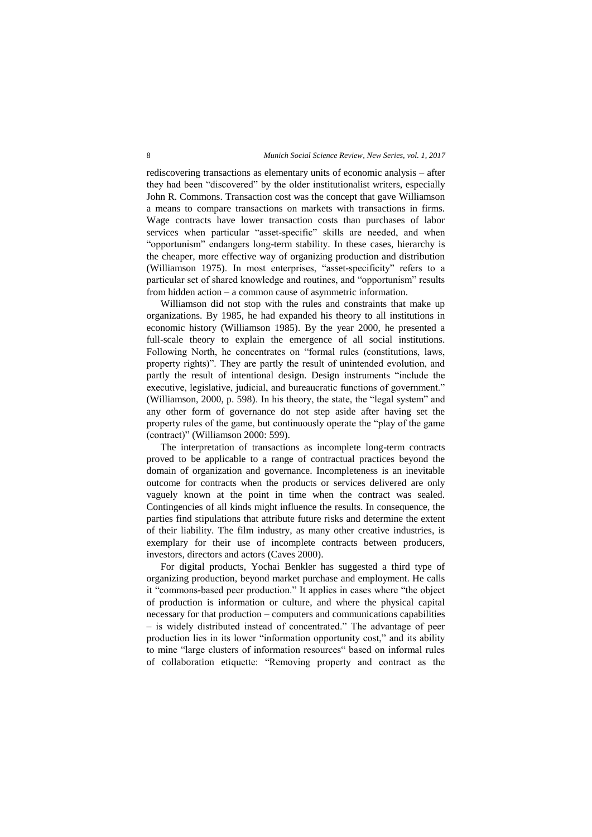rediscovering transactions as elementary units of economic analysis – after they had been "discovered" by the older institutionalist writers, especially John R. Commons. Transaction cost was the concept that gave Williamson a means to compare transactions on markets with transactions in firms. Wage contracts have lower transaction costs than purchases of labor services when particular "asset-specific" skills are needed, and when "opportunism" endangers long-term stability. In these cases, hierarchy is the cheaper, more effective way of organizing production and distribution (Williamson 1975). In most enterprises, "asset-specificity" refers to a particular set of shared knowledge and routines, and "opportunism" results from hidden action – a common cause of asymmetric information.

Williamson did not stop with the rules and constraints that make up organizations. By 1985, he had expanded his theory to all institutions in economic history (Williamson 1985). By the year 2000, he presented a full-scale theory to explain the emergence of all social institutions. Following North, he concentrates on "formal rules (constitutions, laws, property rights)". They are partly the result of unintended evolution, and partly the result of intentional design. Design instruments "include the executive, legislative, judicial, and bureaucratic functions of government." (Williamson, 2000, p. 598). In his theory, the state, the "legal system" and any other form of governance do not step aside after having set the property rules of the game, but continuously operate the "play of the game (contract)" (Williamson 2000: 599).

The interpretation of transactions as incomplete long-term contracts proved to be applicable to a range of contractual practices beyond the domain of organization and governance. Incompleteness is an inevitable outcome for contracts when the products or services delivered are only vaguely known at the point in time when the contract was sealed. Contingencies of all kinds might influence the results. In consequence, the parties find stipulations that attribute future risks and determine the extent of their liability. The film industry, as many other creative industries, is exemplary for their use of incomplete contracts between producers, investors, directors and actors (Caves 2000).

For digital products, Yochai Benkler has suggested a third type of organizing production, beyond market purchase and employment. He calls it "commons-based peer production." It applies in cases where "the object of production is information or culture, and where the physical capital necessary for that production – computers and communications capabilities – is widely distributed instead of concentrated." The advantage of peer production lies in its lower "information opportunity cost," and its ability to mine "large clusters of information resources" based on informal rules of collaboration etiquette: "Removing property and contract as the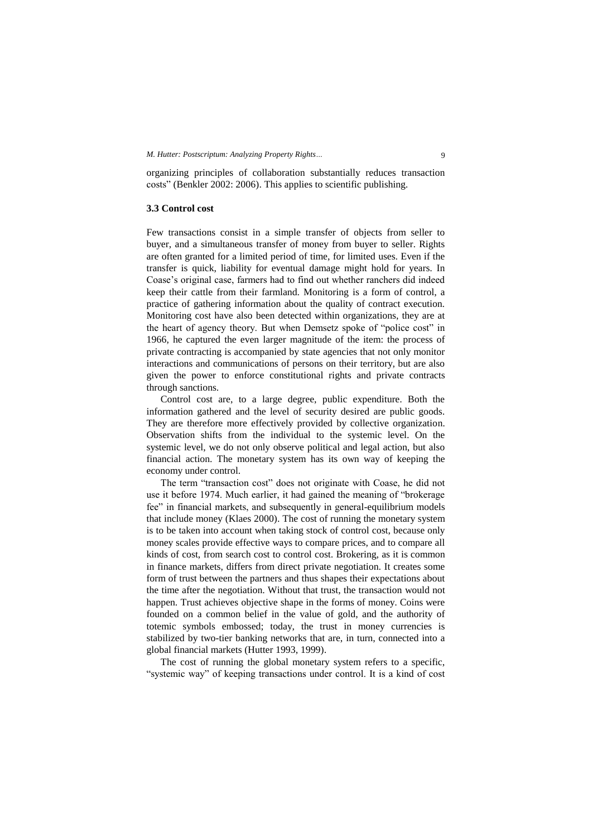organizing principles of collaboration substantially reduces transaction costs" (Benkler 2002: 2006). This applies to scientific publishing.

#### **3.3 Control cost**

Few transactions consist in a simple transfer of objects from seller to buyer, and a simultaneous transfer of money from buyer to seller. Rights are often granted for a limited period of time, for limited uses. Even if the transfer is quick, liability for eventual damage might hold for years. In Coase's original case, farmers had to find out whether ranchers did indeed keep their cattle from their farmland. Monitoring is a form of control, a practice of gathering information about the quality of contract execution. Monitoring cost have also been detected within organizations, they are at the heart of agency theory. But when Demsetz spoke of "police cost" in 1966, he captured the even larger magnitude of the item: the process of private contracting is accompanied by state agencies that not only monitor interactions and communications of persons on their territory, but are also given the power to enforce constitutional rights and private contracts through sanctions.

Control cost are, to a large degree, public expenditure. Both the information gathered and the level of security desired are public goods. They are therefore more effectively provided by collective organization. Observation shifts from the individual to the systemic level. On the systemic level, we do not only observe political and legal action, but also financial action. The monetary system has its own way of keeping the economy under control.

The term "transaction cost" does not originate with Coase, he did not use it before 1974. Much earlier, it had gained the meaning of "brokerage fee" in financial markets, and subsequently in general-equilibrium models that include money (Klaes 2000). The cost of running the monetary system is to be taken into account when taking stock of control cost, because only money scales provide effective ways to compare prices, and to compare all kinds of cost, from search cost to control cost. Brokering, as it is common in finance markets, differs from direct private negotiation. It creates some form of trust between the partners and thus shapes their expectations about the time after the negotiation. Without that trust, the transaction would not happen. Trust achieves objective shape in the forms of money. Coins were founded on a common belief in the value of gold, and the authority of totemic symbols embossed; today, the trust in money currencies is stabilized by two-tier banking networks that are, in turn, connected into a global financial markets (Hutter 1993, 1999).

The cost of running the global monetary system refers to a specific, "systemic way" of keeping transactions under control. It is a kind of cost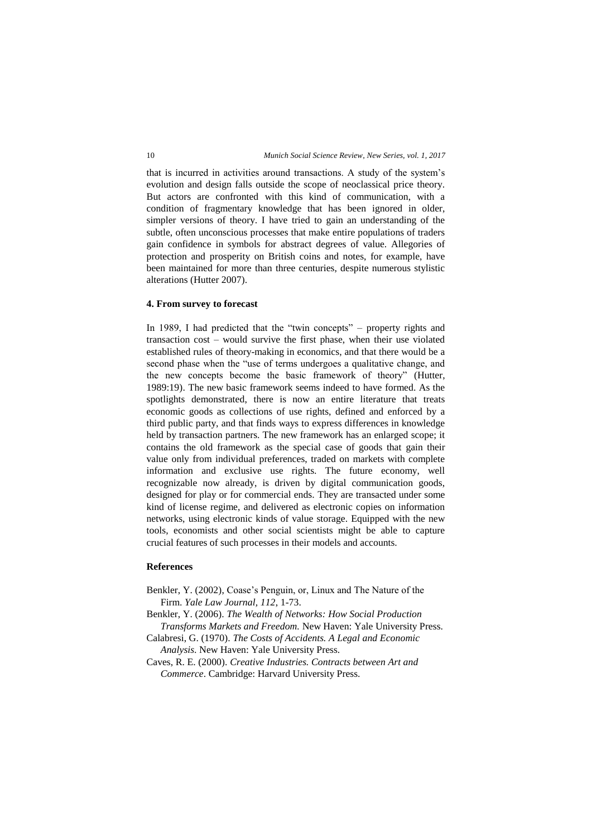that is incurred in activities around transactions. A study of the system's evolution and design falls outside the scope of neoclassical price theory. But actors are confronted with this kind of communication, with a condition of fragmentary knowledge that has been ignored in older, simpler versions of theory. I have tried to gain an understanding of the subtle, often unconscious processes that make entire populations of traders gain confidence in symbols for abstract degrees of value. Allegories of protection and prosperity on British coins and notes, for example, have been maintained for more than three centuries, despite numerous stylistic alterations (Hutter 2007).

#### **4. From survey to forecast**

In 1989, I had predicted that the "twin concepts" – property rights and transaction cost – would survive the first phase, when their use violated established rules of theory-making in economics, and that there would be a second phase when the "use of terms undergoes a qualitative change, and the new concepts become the basic framework of theory" (Hutter, 1989:19). The new basic framework seems indeed to have formed. As the spotlights demonstrated, there is now an entire literature that treats economic goods as collections of use rights, defined and enforced by a third public party, and that finds ways to express differences in knowledge held by transaction partners. The new framework has an enlarged scope; it contains the old framework as the special case of goods that gain their value only from individual preferences, traded on markets with complete information and exclusive use rights. The future economy, well recognizable now already, is driven by digital communication goods, designed for play or for commercial ends. They are transacted under some kind of license regime, and delivered as electronic copies on information networks, using electronic kinds of value storage. Equipped with the new tools, economists and other social scientists might be able to capture crucial features of such processes in their models and accounts.

## **References**

- Benkler, Y. (2002), Coase's Penguin, or, Linux and The Nature of the Firm. *Yale Law Journal, 112*, 1-73.
- Benkler, Y. (2006). *The Wealth of Networks: How Social Production Transforms Markets and Freedom.* New Haven: Yale University Press.
- Calabresi, G. (1970). *The Costs of Accidents. A Legal and Economic Analysis*. New Haven: Yale University Press.
- Caves, R. E. (2000). *Creative Industries. Contracts between Art and Commerce*. Cambridge: Harvard University Press.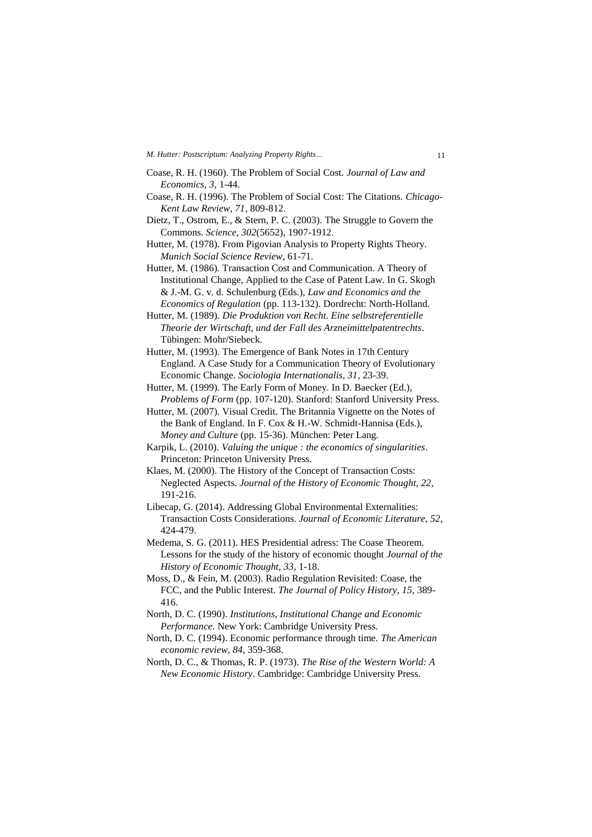*M. Hutter: Postscriptum: Analyzing Property Rights…* 11

- Coase, R. H. (1960). The Problem of Social Cost. *Journal of Law and Economics, 3*, 1-44.
- Coase, R. H. (1996). The Problem of Social Cost: The Citations. *Chicago-Kent Law Review, 71*, 809-812.
- Dietz, T., Ostrom, E., & Stern, P. C. (2003). The Struggle to Govern the Commons. *Science, 302*(5652), 1907-1912.
- Hutter, M. (1978). From Pigovian Analysis to Property Rights Theory. *Munich Social Science Review*, 61-71.
- Hutter, M. (1986). Transaction Cost and Communication. A Theory of Institutional Change, Applied to the Case of Patent Law. In G. Skogh & J.-M. G. v. d. Schulenburg (Eds.), *Law and Economics and the Economics of Regulation* (pp. 113-132). Dordrecht: North-Holland.

Hutter, M. (1989). *Die Produktion von Recht. Eine selbstreferentielle Theorie der Wirtschaft, und der Fall des Arzneimittelpatentrechts*. Tübingen: Mohr/Siebeck.

- Hutter, M. (1993). The Emergence of Bank Notes in 17th Century England. A Case Study for a Communication Theory of Evolutionary Economic Change. *Sociologia Internationalis, 31*, 23-39.
- Hutter, M. (1999). The Early Form of Money. In D. Baecker (Ed.), *Problems of Form* (pp. 107-120). Stanford: Stanford University Press.
- Hutter, M. (2007). Visual Credit. The Britannia Vignette on the Notes of the Bank of England. In F. Cox & H.-W. Schmidt-Hannisa (Eds.), *Money and Culture* (pp. 15-36). München: Peter Lang.
- Karpik, L. (2010). *Valuing the unique : the economics of singularities*. Princeton: Princeton University Press.
- Klaes, M. (2000). The History of the Concept of Transaction Costs: Neglected Aspects. *Journal of the History of Economic Thought, 22*, 191-216.
- Libecap, G. (2014). Addressing Global Environmental Externalities: Transaction Costs Considerations. *Journal of Economic Literature, 52*, 424-479.
- Medema, S. G. (2011). HES Presidential adress: The Coase Theorem. Lessons for the study of the history of economic thought *Journal of the History of Economic Thought, 33*, 1-18.
- Moss, D., & Fein, M. (2003). Radio Regulation Revisited: Coase, the FCC, and the Public Interest. *The Journal of Policy History, 15*, 389- 416.
- North, D. C. (1990). *Institutions, Institutional Change and Economic Performance*. New York: Cambridge University Press.
- North, D. C. (1994). Economic performance through time. *The American economic review, 84*, 359-368.
- North, D. C., & Thomas, R. P. (1973). *The Rise of the Western World: A New Economic History*. Cambridge: Cambridge University Press.